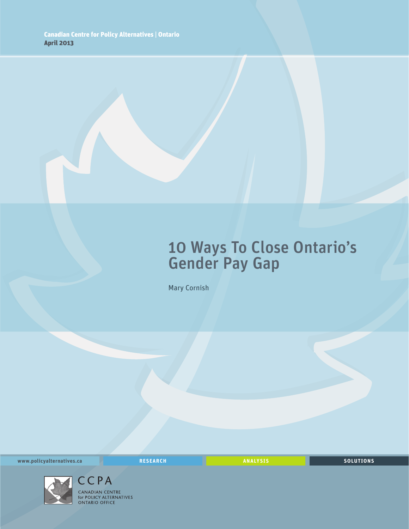## 10 Ways To Close Ontario's Gender Pay Gap

Mary Cornish

**www.policyalternatives.ca** <mark>RESEARCH</mark> ANALYSIS SOLUTIONS



CCPA CANADIAN CENTRE **EXIMPIATE CENTRE**<br> **STATE ON TARIO OFFICE**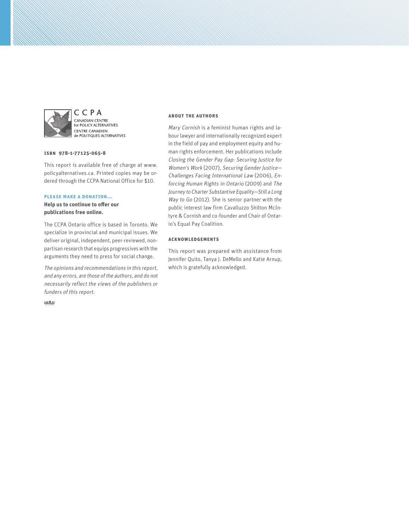

CCPA CANADIAN CENTRE FOR VIDEO CENTRE<br>For POLICY ALTERNATIVES **CENTRE CANADIEN** de POLITIQUES ALTERNATIVES

#### **ISBN 978-1-77125-065-8**

This report is available free of charge at www. policyalternatives.ca. Printed copies may be ordered through the CCPA National Office for \$10.

#### **Please make a donation...**

**Help us to continue to offer our publications free online.**

The CCPA Ontario office is based in Toronto. We specialize in provincial and municipal issues. We deliver original, independent, peer-reviewed, nonpartisan research that equips progressives with the arguments they need to press for social change.

The opinions and recommendations in this report, and any errors, are those of the authors, and do not necessarily reflect the views of the publishers or funders of this report.

 $CAN \frac{4}{\sqrt{114 \Delta M^2}}$ 

#### **About the authors**

Mary Cornish is a feminist human rights and labour lawyer and internationally recognized expert in the field of pay and employment equity and human rights enforcement. Her publications include Closing the Gender Pay Gap: Securing Justice for Women's Work (2007), Securing Gender Justice— Challenges Facing International Law (2006), Enforcing Human Rights in Ontario (2009) and The Journey to Charter Substantive Equality—Still a Long Way to Go (2012). She is senior partner with the public interest law firm Cavalluzzo Shilton McIntyre & Cornish and co-founder and Chair of Ontario's Equal Pay Coalition.

#### **Acknowledgements**

This report was prepared with assistance from Jennifer Quito, Tanya J. DeMello and Katie Arnup, which is gratefully acknowledged.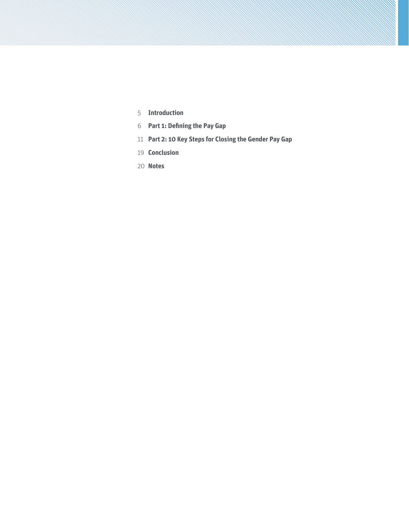- **[Introduction](#page-4-0)**
- **[Part 1: Defining the Pay Gap](#page-5-0)**
- **[Part 2: 10 Key Steps for Closing the Gender Pay Gap](#page-10-0)**
- **[Conclusion](#page-18-0)**
- **[Notes](#page-19-0)**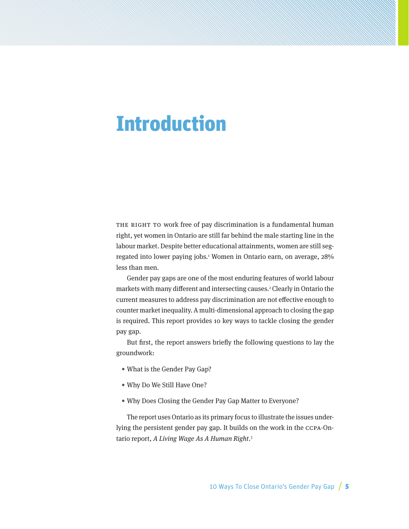## <span id="page-4-0"></span>Introduction

THE RIGHT TO WORK free of pay discrimination is a fundamental human right, yet women in Ontario are still far behind the male starting line in the labour market. Despite better educational attainments, women are still segregated into lower paying jobs.1 Women in Ontario earn, on average, 28% less than men.

Gender pay gaps are one of the most enduring features of world labour markets with many different and intersecting causes.2 Clearly in Ontario the current measures to address pay discrimination are not effective enough to counter market inequality. A multi-dimensional approach to closing the gap is required. This report provides 10 key ways to tackle closing the gender pay gap.

But first, the report answers briefly the following questions to lay the groundwork:

- What is the Gender Pay Gap?
- Why Do We Still Have One?
- Why Does Closing the Gender Pay Gap Matter to Everyone?

The report uses Ontario as its primary focus to illustrate the issues underlying the persistent gender pay gap. It builds on the work in the CCPA-Ontario report, A Living Wage As A Human Right.<sup>3</sup>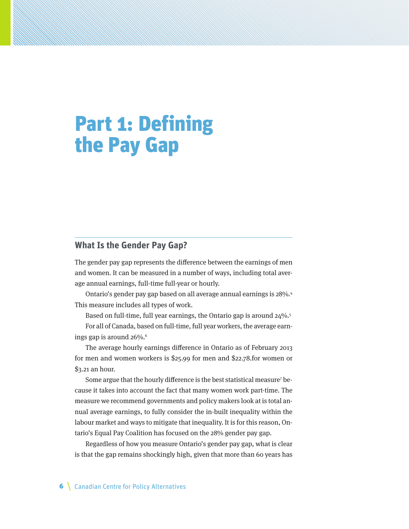# <span id="page-5-0"></span>Part 1: Defining the Pay Gap

#### **What Is the Gender Pay Gap?**

The gender pay gap represents the difference between the earnings of men and women. It can be measured in a number of ways, including total average annual earnings, full-time full-year or hourly.

Ontario's gender pay gap based on all average annual earnings is 28%.4 This measure includes all types of work.

Based on full-time, full year earnings, the Ontario gap is around 24%.5 For all of Canada, based on full-time, full year workers, the average earnings gap is around 26%.<sup>6</sup>

The average hourly earnings difference in Ontario as of February 2013 for men and women workers is \$25.99 for men and \$22.78.for women or \$3.21 an hour.

Some argue that the hourly difference is the best statistical measure<sup>7</sup> because it takes into account the fact that many women work part-time. The measure we recommend governments and policy makers look at is total annual average earnings, to fully consider the in-built inequality within the labour market and ways to mitigate that inequality. It is for this reason, Ontario's Equal Pay Coalition has focused on the 28% gender pay gap.

Regardless of how you measure Ontario's gender pay gap, what is clear is that the gap remains shockingly high, given that more than 60 years has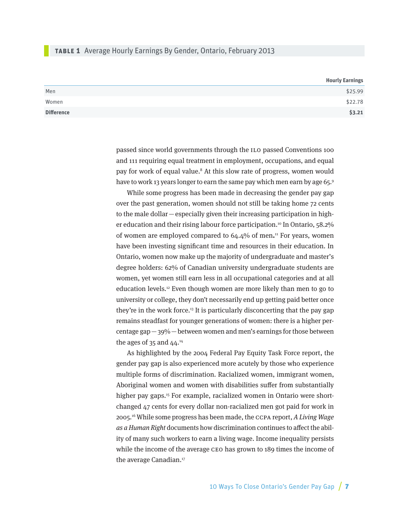#### **table 1** Average Hourly Earnings By Gender, Ontario, February 2013

|                   | <b>Hourly Earnings</b> |
|-------------------|------------------------|
| Men               | \$25.99                |
| Women             | \$22.78                |
| <b>Difference</b> | \$3.21                 |

passed since world governments through the ILO passed Conventions 100 and 111 requiring equal treatment in employment, occupations, and equal pay for work of equal value.<sup>8</sup> At this slow rate of progress, women would have to work 13 years longer to earn the same pay which men earn by age 65.<sup>9</sup>

While some progress has been made in decreasing the gender pay gap over the past generation, women should not still be taking home 72 cents to the male dollar—especially given their increasing participation in higher education and their rising labour force participation.<sup>10</sup> In Ontario, 58.2% of women are employed compared to 64.4% of men**.** 11 For years, women have been investing significant time and resources in their education. In Ontario, women now make up the majority of undergraduate and master's degree holders: 62% of Canadian university undergraduate students are women, yet women still earn less in all occupational categories and at all education levels.12 Even though women are more likely than men to go to university or college, they don't necessarily end up getting paid better once they're in the work force.<sup>13</sup> It is particularly disconcerting that the pay gap remains steadfast for younger generations of women: there is a higher percentage gap—39%—between women and men's earnings for those between the ages of 35 and  $44.14$ 

As highlighted by the 2004 Federal Pay Equity Task Force report, the gender pay gap is also experienced more acutely by those who experience multiple forms of discrimination. Racialized women, immigrant women, Aboriginal women and women with disabilities suffer from substantially higher pay gaps.<sup>15</sup> For example, racialized women in Ontario were shortchanged 47 cents for every dollar non-racialized men got paid for work in 2005.16 While some progress has been made, the CCPA report, A Living Wage as a Human Right documents how discrimination continues to affect the ability of many such workers to earn a living wage. Income inequality persists while the income of the average CEO has grown to 189 times the income of the average Canadian.<sup>17</sup>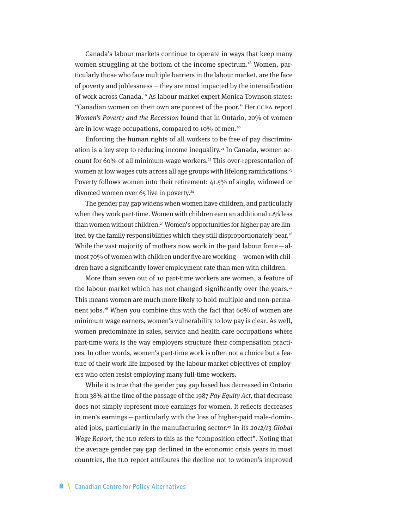Canada's labour markets continue to operate in ways that keep many women struggling at the bottom of the income spectrum.<sup>18</sup> Women, particularly those who face multiple barriers in the labour market, are the face of poverty and joblessness—they are most impacted by the intensification of work across Canada.19 As labour market expert Monica Townson states: "Canadian women on their own are poorest of the poor." Her CCPA report Women's Poverty and the Recession found that in Ontario, 20% of women are in low-wage occupations, compared to 10% of men.<sup>20</sup>

Enforcing the human rights of all workers to be free of pay discrimination is a key step to reducing income inequality.<sup>21</sup> In Canada, women account for 60% of all minimum-wage workers.<sup>22</sup> This over-representation of women at low wages cuts across all age groups with lifelong ramifications.<sup>23</sup> Poverty follows women into their retirement: 41.5% of single, widowed or divorced women over 65 live in poverty.<sup>24</sup>

The gender pay gap widens when women have children, and particularly when they work part-time. Women with children earn an additional 12% less than women without children.<sup>25</sup> Women's opportunities for higher pay are limited by the family responsibilities which they still disproportionately bear.<sup>26</sup> While the vast majority of mothers now work in the paid labour force—almost 70% of women with children under five are working—women with children have a significantly lower employment rate than men with children.

More than seven out of 10 part-time workers are women, a feature of the labour market which has not changed significantly over the years.<sup>27</sup> This means women are much more likely to hold multiple and non-permanent jobs.28 When you combine this with the fact that 60% of women are minimum wage earners, women's vulnerability to low pay is clear. As well, women predominate in sales, service and health care occupations where part-time work is the way employers structure their compensation practices. In other words, women's part-time work is often not a choice but a feature of their work life imposed by the labour market objectives of employers who often resist employing many full-time workers.

While it is true that the gender pay gap based has decreased in Ontario from 38% at the time of the passage of the 1987 Pay Equity Act, that decrease does not simply represent more earnings for women. It reflects decreases in men's earnings—particularly with the loss of higher-paid male-dominated jobs, particularly in the manufacturing sector.<sup>29</sup> In its  $2012/13$  Global Wage Report, the ILO refers to this as the "composition effect". Noting that the average gender pay gap declined in the economic crisis years in most countries, the ILO report attributes the decline not to women's improved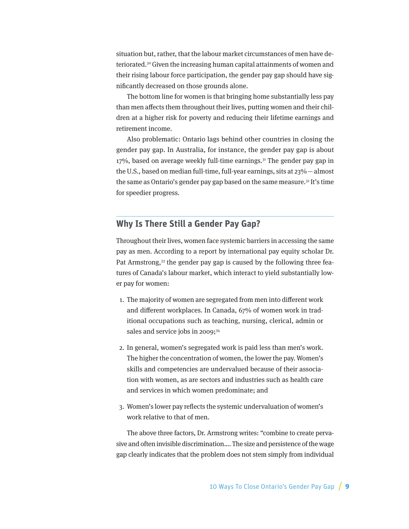situation but, rather, that the labour market circumstances of men have deteriorated.30 Given the increasing human capital attainments of women and their rising labour force participation, the gender pay gap should have significantly decreased on those grounds alone.

The bottom line for women is that bringing home substantially less pay than men affects them throughout their lives, putting women and their children at a higher risk for poverty and reducing their lifetime earnings and retirement income.

Also problematic: Ontario lags behind other countries in closing the gender pay gap. In Australia, for instance, the gender pay gap is about  $17\%$ , based on average weekly full-time earnings.<sup>31</sup> The gender pay gap in the U.S., based on median full-time, full-year earnings, sits at 23%—almost the same as Ontario's gender pay gap based on the same measure.32 It's time for speedier progress.

## **Why Is There Still a Gender Pay Gap?**

Throughout their lives, women face systemic barriers in accessing the same pay as men. According to a report by international pay equity scholar Dr. Pat Armstrong,<sup>33</sup> the gender pay gap is caused by the following three features of Canada's labour market, which interact to yield substantially lower pay for women:

- 1. The majority of women are segregated from men into different work and different workplaces. In Canada, 67% of women work in traditional occupations such as teaching, nursing, clerical, admin or sales and service jobs in 2009;<sup>34</sup>
- 2. In general, women's segregated work is paid less than men's work. The higher the concentration of women, the lower the pay. Women's skills and competencies are undervalued because of their association with women, as are sectors and industries such as health care and services in which women predominate; and
- 3. Women's lower pay reflects the systemic undervaluation of women's work relative to that of men.

The above three factors, Dr. Armstrong writes: "combine to create pervasive and often invisible discrimination…. The size and persistence of the wage gap clearly indicates that the problem does not stem simply from individual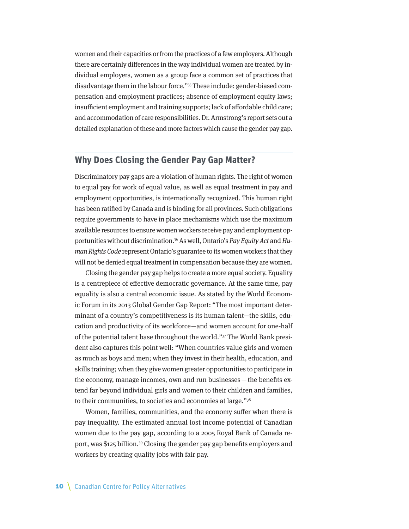women and their capacities or from the practices of a few employers. Although there are certainly differences in the way individual women are treated by individual employers, women as a group face a common set of practices that disadvantage them in the labour force."35 These include: gender-biased compensation and employment practices; absence of employment equity laws; insufficient employment and training supports; lack of affordable child care; and accommodation of care responsibilities. Dr. Armstrong's report sets out a detailed explanation of these and more factors which cause the gender pay gap.

#### **Why Does Closing the Gender Pay Gap Matter?**

Discriminatory pay gaps are a violation of human rights. The right of women to equal pay for work of equal value, as well as equal treatment in pay and employment opportunities, is internationally recognized. This human right has been ratified by Canada and is binding for all provinces. Such obligations require governments to have in place mechanisms which use the maximum available resources to ensure women workers receive pay and employment opportunities without discrimination.<sup>36</sup> As well, Ontario's Pay Equity Act and Human Rights Code represent Ontario's guarantee to its women workers that they will not be denied equal treatment in compensation because they are women.

Closing the gender pay gap helps to create a more equal society. Equality is a centrepiece of effective democratic governance. At the same time, pay equality is also a central economic issue. As stated by the World Economic Forum in its 2013 Global Gender Gap Report: "The most important determinant of a country's competitiveness is its human talent—the skills, education and productivity of its workforce—and women account for one-half of the potential talent base throughout the world."37 The World Bank president also captures this point well: "When countries value girls and women as much as boys and men; when they invest in their health, education, and skills training; when they give women greater opportunities to participate in the economy, manage incomes, own and run businesses—the benefits extend far beyond individual girls and women to their children and families, to their communities, to societies and economies at large."38

Women, families, communities, and the economy suffer when there is pay inequality. The estimated annual lost income potential of Canadian women due to the pay gap, according to a 2005 Royal Bank of Canada report, was \$125 billion.39 Closing the gender pay gap benefits employers and workers by creating quality jobs with fair pay.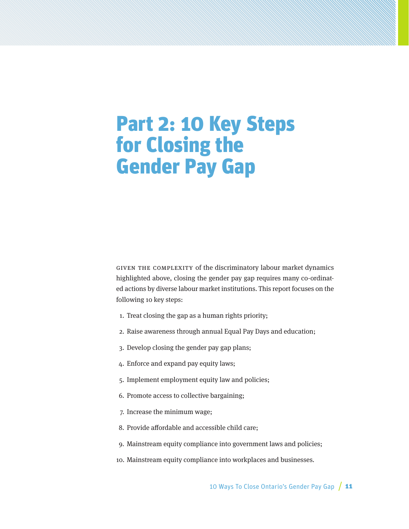## <span id="page-10-0"></span>Part 2: 10 Key Steps for Closing the Gender Pay Gap

GIVEN THE COMPLEXITY of the discriminatory labour market dynamics highlighted above, closing the gender pay gap requires many co-ordinated actions by diverse labour market institutions. This report focuses on the following 10 key steps:

- 1. Treat closing the gap as a human rights priority;
- 2. Raise awareness through annual Equal Pay Days and education;
- 3. Develop closing the gender pay gap plans;
- 4. Enforce and expand pay equity laws;
- 5. Implement employment equity law and policies;
- 6. Promote access to collective bargaining;
- 7. Increase the minimum wage;
- 8. Provide affordable and accessible child care;
- 9. Mainstream equity compliance into government laws and policies;
- 10. Mainstream equity compliance into workplaces and businesses.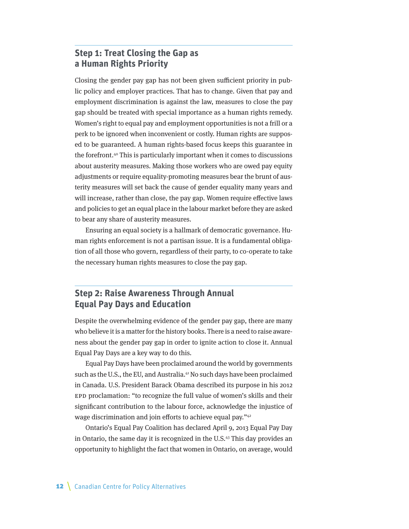### **Step 1: Treat Closing the Gap as a Human Rights Priority**

Closing the gender pay gap has not been given sufficient priority in public policy and employer practices. That has to change. Given that pay and employment discrimination is against the law, measures to close the pay gap should be treated with special importance as a human rights remedy. Women's right to equal pay and employment opportunities is not a frill or a perk to be ignored when inconvenient or costly. Human rights are supposed to be guaranteed. A human rights-based focus keeps this guarantee in the forefront.40 This is particularly important when it comes to discussions about austerity measures. Making those workers who are owed pay equity adjustments or require equality-promoting measures bear the brunt of austerity measures will set back the cause of gender equality many years and will increase, rather than close, the pay gap. Women require effective laws and policies to get an equal place in the labour market before they are asked to bear any share of austerity measures.

Ensuring an equal society is a hallmark of democratic governance. Human rights enforcement is not a partisan issue. It is a fundamental obligation of all those who govern, regardless of their party, to co-operate to take the necessary human rights measures to close the pay gap.

### **Step 2: Raise Awareness Through Annual Equal Pay Days and Education**

Despite the overwhelming evidence of the gender pay gap, there are many who believe it is a matter for the history books. There is a need to raise awareness about the gender pay gap in order to ignite action to close it. Annual Equal Pay Days are a key way to do this.

Equal Pay Days have been proclaimed around the world by governments such as the U.S., the EU, and Australia.<sup>41</sup> No such days have been proclaimed in Canada. U.S. President Barack Obama described its purpose in his 2012 EPD proclamation: "to recognize the full value of women's skills and their significant contribution to the labour force, acknowledge the injustice of wage discrimination and join efforts to achieve equal pay."42

Ontario's Equal Pay Coalition has declared April 9, 2013 Equal Pay Day in Ontario, the same day it is recognized in the U.S.43 This day provides an opportunity to highlight the fact that women in Ontario, on average, would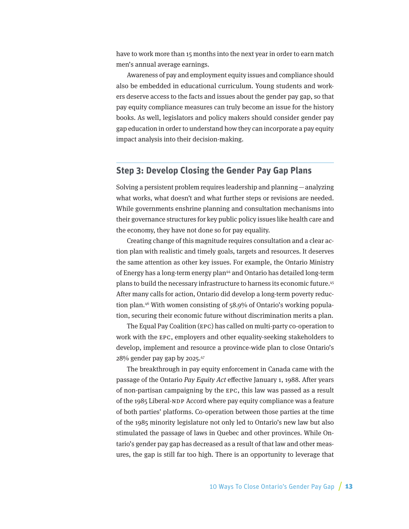have to work more than 15 months into the next year in order to earn match men's annual average earnings.

Awareness of pay and employment equity issues and compliance should also be embedded in educational curriculum. Young students and workers deserve access to the facts and issues about the gender pay gap, so that pay equity compliance measures can truly become an issue for the history books. As well, legislators and policy makers should consider gender pay gap education in order to understand how they can incorporate a pay equity impact analysis into their decision-making.

#### **Step 3: Develop Closing the Gender Pay Gap Plans**

Solving a persistent problem requires leadership and planning—analyzing what works, what doesn't and what further steps or revisions are needed. While governments enshrine planning and consultation mechanisms into their governance structures for key public policy issues like health care and the economy, they have not done so for pay equality.

Creating change of this magnitude requires consultation and a clear action plan with realistic and timely goals, targets and resources. It deserves the same attention as other key issues. For example, the Ontario Ministry of Energy has a long-term energy plan44 and Ontario has detailed long-term plans to build the necessary infrastructure to harness its economic future.45 After many calls for action, Ontario did develop a long-term poverty reduction plan.46 With women consisting of 58.9% of Ontario's working population, securing their economic future without discrimination merits a plan.

The Equal Pay Coalition (EPC) has called on multi-party co-operation to work with the EPC, employers and other equality-seeking stakeholders to develop, implement and resource a province-wide plan to close Ontario's 28% gender pay gap by 2025.47

The breakthrough in pay equity enforcement in Canada came with the passage of the Ontario Pay Equity Act effective January 1, 1988. After years of non-partisan campaigning by the EPC, this law was passed as a result of the 1985 Liberal-NDP Accord where pay equity compliance was a feature of both parties' platforms. Co-operation between those parties at the time of the 1985 minority legislature not only led to Ontario's new law but also stimulated the passage of laws in Quebec and other provinces. While Ontario's gender pay gap has decreased as a result of that law and other measures, the gap is still far too high. There is an opportunity to leverage that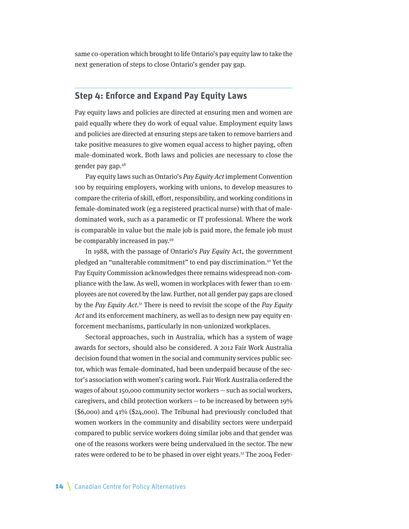same co-operation which brought to life Ontario's pay equity law to take the next generation of steps to close Ontario's gender pay gap.

#### **Step 4: Enforce and Expand Pay Equity Laws**

Pay equity laws and policies are directed at ensuring men and women are paid equally where they do work of equal value. Employment equity laws and policies are directed at ensuring steps are taken to remove barriers and take positive measures to give women equal access to higher paying, often male-dominated work. Both laws and policies are necessary to close the gender pay gap.48

Pay equity laws such as Ontario's Pay Equity Act implement Convention 100 by requiring employers, working with unions, to develop measures to compare the criteria of skill, effort, responsibility, and working conditions in female-dominated work (eg a registered practical nurse) with that of maledominated work, such as a paramedic or IT professional. Where the work is comparable in value but the male job is paid more, the female job must be comparably increased in pay.49

In 1988, with the passage of Ontario's Pay Equity Act, the government pledged an "unalterable commitment" to end pay discrimination.50 Yet the Pay Equity Commission acknowledges there remains widespread non-compliance with the law. As well, women in workplaces with fewer than 10 employees are not covered by the law. Further, not all gender pay gaps are closed by the Pay Equity Act. $51$  There is need to revisit the scope of the Pay Equity Act and its enforcement machinery, as well as to design new pay equity enforcement mechanisms, particularly in non-unionized workplaces.

Sectoral approaches, such in Australia, which has a system of wage awards for sectors, should also be considered. A 2012 Fair Work Australia decision found that women in the social and community services public sector, which was female-dominated, had been underpaid because of the sector's association with women's caring work. Fair Work Australia ordered the wages of about 150,000 community sector workers—such as social workers, caregivers, and child protection workers  $-$  to be increased by between 19% (\$6,000) and 41% (\$24,000). The Tribunal had previously concluded that women workers in the community and disability sectors were underpaid compared to public service workers doing similar jobs and that gender was one of the reasons workers were being undervalued in the sector. The new rates were ordered to be to be phased in over eight years.<sup>52</sup> The 2004 Feder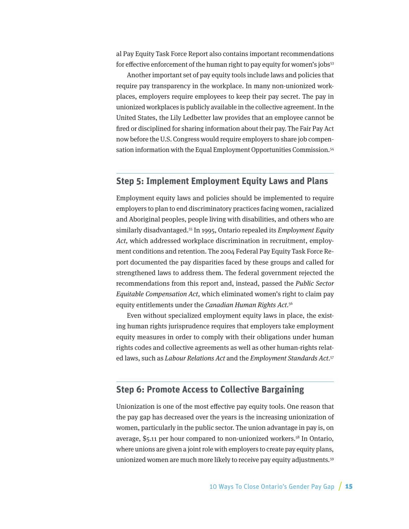al Pay Equity Task Force Report also contains important recommendations for effective enforcement of the human right to pay equity for women's jobs $53$ 

Another important set of pay equity tools include laws and policies that require pay transparency in the workplace. In many non-unionized workplaces, employers require employees to keep their pay secret. The pay in unionized workplaces is publicly available in the collective agreement. In the United States, the Lily Ledbetter law provides that an employee cannot be fired or disciplined for sharing information about their pay. The Fair Pay Act now before the U.S. Congress would require employers to share job compensation information with the Equal Employment Opportunities Commission.<sup>54</sup>

#### **Step 5: Implement Employment Equity Laws and Plans**

Employment equity laws and policies should be implemented to require employers to plan to end discriminatory practices facing women, racialized and Aboriginal peoples, people living with disabilities, and others who are similarly disadvantaged.<sup>55</sup> In 1995, Ontario repealed its *Employment Equity* Act, which addressed workplace discrimination in recruitment, employment conditions and retention. The 2004 Federal Pay Equity Task Force Report documented the pay disparities faced by these groups and called for strengthened laws to address them. The federal government rejected the recommendations from this report and, instead, passed the Public Sector Equitable Compensation Act, which eliminated women's right to claim pay equity entitlements under the Canadian Human Rights Act.<sup>56</sup>

Even without specialized employment equity laws in place, the existing human rights jurisprudence requires that employers take employment equity measures in order to comply with their obligations under human rights codes and collective agreements as well as other human-rights related laws, such as Labour Relations Act and the Employment Standards Act.<sup>57</sup>

### **Step 6: Promote Access to Collective Bargaining**

Unionization is one of the most effective pay equity tools. One reason that the pay gap has decreased over the years is the increasing unionization of women, particularly in the public sector. The union advantage in pay is, on average, \$5.11 per hour compared to non-unionized workers.58 In Ontario, where unions are given a joint role with employers to create pay equity plans, unionized women are much more likely to receive pay equity adjustments.59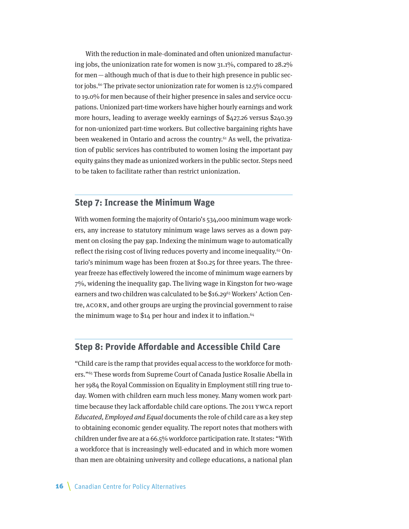With the reduction in male-dominated and often unionized manufacturing jobs, the unionization rate for women is now 31.1%, compared to 28.2% for men—although much of that is due to their high presence in public sector jobs.<sup>60</sup> The private sector unionization rate for women is 12.5% compared to 19.0% for men because of their higher presence in sales and service occupations. Unionized part-time workers have higher hourly earnings and work more hours, leading to average weekly earnings of \$427.26 versus \$240.39 for non-unionized part-time workers. But collective bargaining rights have been weakened in Ontario and across the country.<sup>61</sup> As well, the privatization of public services has contributed to women losing the important pay equity gains they made as unionized workers in the public sector. Steps need to be taken to facilitate rather than restrict unionization.

### **Step 7: Increase the Minimum Wage**

With women forming the majority of Ontario's 534,000 minimum wage workers, any increase to statutory minimum wage laws serves as a down payment on closing the pay gap. Indexing the minimum wage to automatically reflect the rising cost of living reduces poverty and income inequality.<sup>62</sup> Ontario's minimum wage has been frozen at \$10.25 for three years. The threeyear freeze has effectively lowered the income of minimum wage earners by 7%, widening the inequality gap. The living wage in Kingston for two-wage earners and two children was calculated to be \$16.29<sup>63</sup> Workers' Action Centre, ACORN, and other groups are urging the provincial government to raise the minimum wage to  $$14$  per hour and index it to inflation.<sup>64</sup>

#### **Step 8: Provide Affordable and Accessible Child Care**

"Child care is the ramp that provides equal access to the workforce for mothers."65 These words from Supreme Court of Canada Justice Rosalie Abella in her 1984 the Royal Commission on Equality in Employment still ring true today. Women with children earn much less money. Many women work parttime because they lack affordable child care options. The 2011 YWCA report Educated, Employed and Equal documents the role of child care as a key step to obtaining economic gender equality. The report notes that mothers with children under five are at a 66.5% workforce participation rate. It states: "With a workforce that is increasingly well-educated and in which more women than men are obtaining university and college educations, a national plan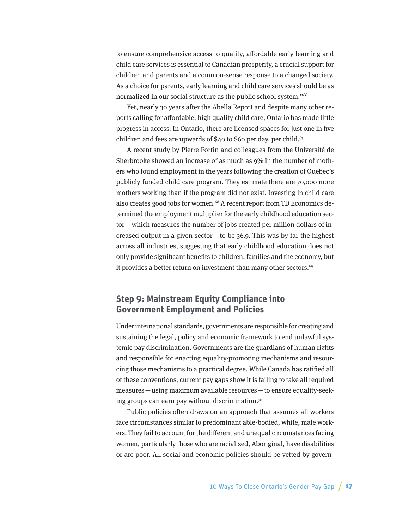to ensure comprehensive access to quality, affordable early learning and child care services is essential to Canadian prosperity, a crucial support for children and parents and a common-sense response to a changed society. As a choice for parents, early learning and child care services should be as normalized in our social structure as the public school system."<sup>66</sup>

Yet, nearly 30 years after the Abella Report and despite many other reports calling for affordable, high quality child care, Ontario has made little progress in access. In Ontario, there are licensed spaces for just one in five children and fees are upwards of \$40 to \$60 per day, per child.<sup>67</sup>

A recent study by Pierre Fortin and colleagues from the Université de Sherbrooke showed an increase of as much as 9% in the number of mothers who found employment in the years following the creation of Quebec's publicly funded child care program. They estimate there are 70,000 more mothers working than if the program did not exist. Investing in child care also creates good jobs for women.68 A recent report from TD Economics determined the employment multiplier for the early childhood education sector—which measures the number of jobs created per million dollars of increased output in a given sector—to be  $36.9$ . This was by far the highest across all industries, suggesting that early childhood education does not only provide significant benefits to children, families and the economy, but it provides a better return on investment than many other sectors.<sup>69</sup>

### **Step 9: Mainstream Equity Compliance into Government Employment and Policies**

Under international standards, governments are responsible for creating and sustaining the legal, policy and economic framework to end unlawful systemic pay discrimination. Governments are the guardians of human rights and responsible for enacting equality-promoting mechanisms and resourcing those mechanisms to a practical degree. While Canada has ratified all of these conventions, current pay gaps show it is failing to take all required measures—using maximum available resources—to ensure equality-seeking groups can earn pay without discrimination.70

Public policies often draws on an approach that assumes all workers face circumstances similar to predominant able-bodied, white, male workers. They fail to account for the different and unequal circumstances facing women, particularly those who are racialized, Aboriginal, have disabilities or are poor. All social and economic policies should be vetted by govern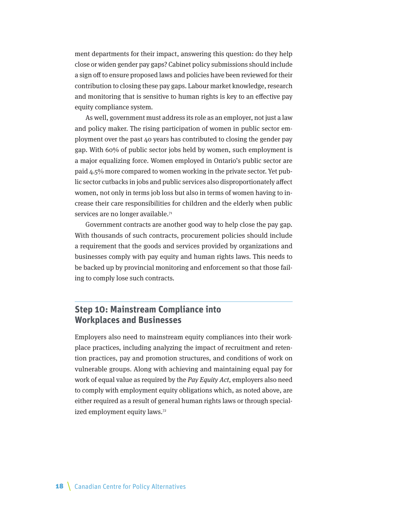ment departments for their impact, answering this question: do they help close or widen gender pay gaps? Cabinet policy submissions should include a sign off to ensure proposed laws and policies have been reviewed for their contribution to closing these pay gaps. Labour market knowledge, research and monitoring that is sensitive to human rights is key to an effective pay equity compliance system.

As well, government must address its role as an employer, not just a law and policy maker. The rising participation of women in public sector employment over the past 40 years has contributed to closing the gender pay gap. With 60% of public sector jobs held by women, such employment is a major equalizing force. Women employed in Ontario's public sector are paid 4.5% more compared to women working in the private sector. Yet public sector cutbacks in jobs and public services also disproportionately affect women, not only in terms job loss but also in terms of women having to increase their care responsibilities for children and the elderly when public services are no longer available.<sup>71</sup>

Government contracts are another good way to help close the pay gap. With thousands of such contracts, procurement policies should include a requirement that the goods and services provided by organizations and businesses comply with pay equity and human rights laws. This needs to be backed up by provincial monitoring and enforcement so that those failing to comply lose such contracts.

### **Step 10: Mainstream Compliance into Workplaces and Businesses**

Employers also need to mainstream equity compliances into their workplace practices, including analyzing the impact of recruitment and retention practices, pay and promotion structures, and conditions of work on vulnerable groups. Along with achieving and maintaining equal pay for work of equal value as required by the Pay Equity Act, employers also need to comply with employment equity obligations which, as noted above, are either required as a result of general human rights laws or through specialized employment equity laws.<sup>72</sup>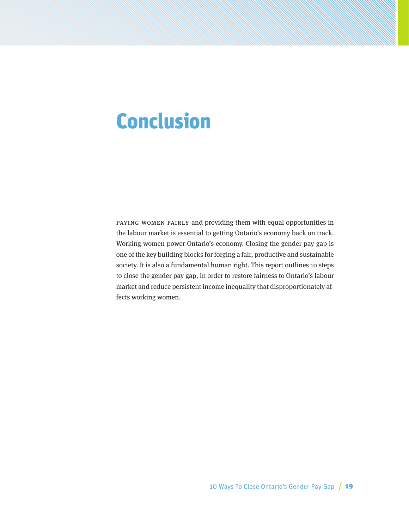# <span id="page-18-0"></span>Conclusion

PAYING WOMEN FAIRLY and providing them with equal opportunities in the labour market is essential to getting Ontario's economy back on track. Working women power Ontario's economy. Closing the gender pay gap is one of the key building blocks for forging a fair, productive and sustainable society. It is also a fundamental human right. This report outlines 10 steps to close the gender pay gap, in order to restore fairness to Ontario's labour market and reduce persistent income inequality that disproportionately affects working women.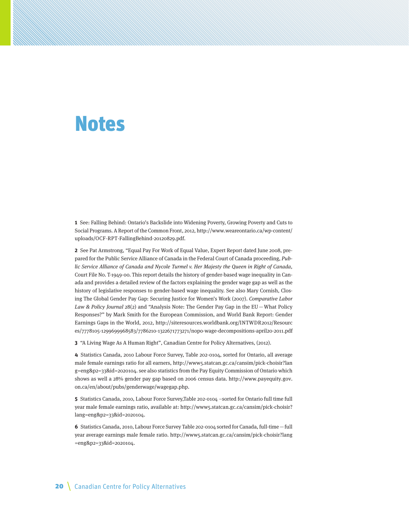## <span id="page-19-0"></span>Notes

**1** See: Falling Behind: Ontario's Backslide into Widening Poverty, Growing Poverty and Cuts to Social Programs. A Report of the Common Front, 2012, http://www.weareontario.ca/wp-content/ uploads/OCF-RPT-FallingBehind-20120829.pdf.

**2** See Pat Armstrong, "Equal Pay For Work of Equal Value, Expert Report dated June 2008, prepared for the Public Service Alliance of Canada in the Federal Court of Canada proceeding, Public Service Alliance of Canada and Nycole Turmel v. Her Majesty the Queen in Right of Canada, Court File No. T-1949-00. This report details the history of gender-based wage inequality in Canada and provides a detailed review of the factors explaining the gender wage gap as well as the history of legislative responses to gender-based wage inequality. See also Mary Cornish, Closing The Global Gender Pay Gap: Securing Justice for Women's Work (2007). Comparative Labor Law & Policy Journal  $28(2)$  and "Analysis Note: The Gender Pay Gap in the EU - What Policy Responses?" by Mark Smith for the European Commission, and World Bank Report: Gender Earnings Gaps in the World, 2012, [http://siteresources.worldbank.org/INTWDR2012/Resourc](http://siteresources.worldbank.org/INTWDR2012/Resources/7778105-1299699968583/7786210-1322671773271/nopo-wage-decompositions-april20-2011.pdf) [es/7778105-1299699968583/7786210-1322671773271/nopo-wage-decompositions-april20-2011.pdf](http://siteresources.worldbank.org/INTWDR2012/Resources/7778105-1299699968583/7786210-1322671773271/nopo-wage-decompositions-april20-2011.pdf)

**3** "A Living Wage As A Human Right", Canadian Centre for Policy Alternatives, (2012).

**4** Statistics Canada, 2010 Labour Force Survey, Table 202-0104, sorted for Ontario, all average male female earnings ratio for all earners, [http://www5.statcan.gc.ca/cansim/pick-choisir?lan](http://www5.statcan.gc.ca/cansim/pick-choisir?lang=eng&p2=33&id=2020104) [g=eng&p2=33&id=2020104](http://www5.statcan.gc.ca/cansim/pick-choisir?lang=eng&p2=33&id=2020104). see also statistics from the Pay Equity Commission of Ontario which shows as well a 28% gender pay gap based on 2006 census data. [http://www.payequity.gov.](http://www.payequity.gov.on.ca/en/about/pubs/genderwage/wagegap.php) [on.ca/en/about/pubs/genderwage/wagegap.php](http://www.payequity.gov.on.ca/en/about/pubs/genderwage/wagegap.php).

**5** Statistics Canada, 2010, Labour Force Survey,Table 202-0104 –sorted for Ontario full time full year male female earnings ratio, available at: http://www5.statcan.gc.ca/cansim/pick-choisir? lang=eng&p2=33&id=2020104.

**6** Statistics Canada, 2010, Labour Force Survey Table 202-0104 sorted for Canada, full-time—full year average earnings male female ratio. http://www5.statcan.gc.ca/cansim/pick-choisir?lang =eng&p2=33&id=2020104.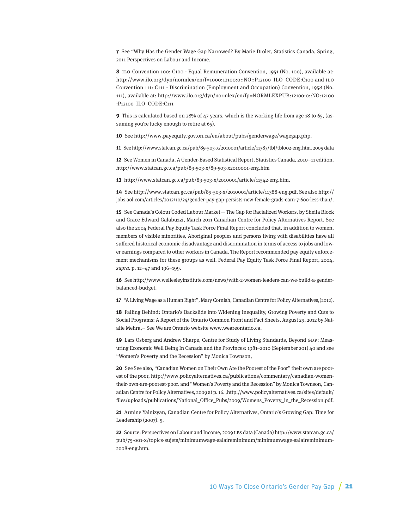**7** See "Why Has the Gender Wage Gap Narrowed? By Marie Drolet, Statistics Canada, Spring, 2011 Perspectives on Labour and Income.

**8** ILO Convention 100: C100 - Equal Remuneration Convention, 1951 (No. 100), available at: http://www.ilo.org/dyn/normlex/en/f=1000:12100:0::NO::P12100\_ILO\_CODE:C100 and ILO Convention 111: C111 - Discrimination (Employment and Occupation) Convention, 1958 (No. 111), available at: http://www.ilo.org/dyn/normlex/en/fp=NORMLEXPUB:12100:0::NO:12100 :P12100\_ILO\_CODE:C111

**9** This is calculated based on 28% of 47 years, which is the working life from age 18 to 65, (assuming you're lucky enough to retire at 65).

**10** See [http://www.payequity.gov.on.ca/en/about/pubs/genderwage/wagegap.php.](http://www.payequity.gov.on.ca/en/about/pubs/genderwage/wagegap.php)

**11** See<http://www.statcan.gc.ca/pub/89-503-x/2010001/article/11387/tbl/tbl002-eng.htm>. 2009 data

**12** See Women in Canada, A Gender-Based Statistical Report, Statistics Canada, 2010–11 edition. http://www.statcan.gc.ca/pub/89-503-x/89-503-x2010001-eng.htm

**13** http://www.statcan.gc.ca/pub/89-503-x/2010001/article/11542-eng.htm.

**14** See<http://www.statcan.gc.ca/pub/89-503-x/2010001/article/11388-eng.pdf>. See also [http://](http://jobs.aol.com/articles/2012/10/24/gender-pay-gap-persists-new-female-grads-earn-7-600-less-than/) [jobs.aol.com/articles/2012/10/24/gender-pay-gap-persists-new-female-grads-earn-7-600-less-than/.](http://jobs.aol.com/articles/2012/10/24/gender-pay-gap-persists-new-female-grads-earn-7-600-less-than/)

**15** See Canada's Colour Coded Labour Market—The Gap for Racialized Workers, by Sheila Block and Grace Edward Galabuzzi, March 2011 Canadian Centre for Policy Alternatives Report. See also the 2004 Federal Pay Equity Task Force Final Report concluded that, in addition to women, members of visible minorities, Aboriginal peoples and persons living with disabilities have all suffered historical economic disadvantage and discrimination in terms of access to jobs and lower earnings compared to other workers in Canada. The Report recommended pay equity enforcement mechanisms for these groups as well. Federal Pay Equity Task Force Final Report, 2004, supra. p. 12–47 and 196–199.

**16** See [http://www.wellesleyinstitute.com/news/with-2-women-leaders-can-we-build-a-gender](http://www.wellesleyinstitute.com/news/with-2-women-leaders-can-we-build-a-gender-balanced-budget/)[balanced-budget.](http://www.wellesleyinstitute.com/news/with-2-women-leaders-can-we-build-a-gender-balanced-budget/)

**17** "A Living Wage as a Human Right", Mary Cornish, Canadian Centre for Policy Alternatives,(2012).

**18** Falling Behind: Ontario's Backslide into Widening Inequality, Growing Poverty and Cuts to Social Programs: A Report of the Ontario Common Front and Fact Sheets, August 29, 2012 by Natalie Mehra,– See We are Ontario website [www.weareontario.ca.](http://www.weareontario.ca)

**19** Lars Osberg and Andrew Sharpe, Centre for Study of Living Standards, Beyond GDP: Measuring Economic Well Being In Canada and the Provinces: 1981–2010 (September 201) 40 and see "Women's Poverty and the Recession" by Monica Townson,

**20** See See also, "Canadian Women on Their Own Are the Poorest of the Poor" their own are poorest of the poor, http://www.policyalternatives.ca/publications/commentary/canadian-womentheir-own-are-poorest-poor. and "Women's Poverty and the Recession" by Monica Townson, Canadian Centre for Policy Alternatives, 2009 at p. 16. ,http://www.policyalternatives.ca/sites/default/ files/uploads/publications/National\_Office\_Pubs/2009/Womens\_Poverty\_in\_the\_Recession.pdf.

**21** Armine Yalnizyan, Canadian Centre for Policy Alternatives, Ontario's Growing Gap: Time for Leadership (2007). 5.

**22** Source: Perspectives on Labour and Income, 2009 LFS data (Canada) [http://www.statcan.gc.ca/](http://www.statcan.gc.ca/pub/75-001-x/topics-sujets/minimumwage-salaireminimum/minimumwage-salaireminimum-2008-eng.htm) [pub/75-001-x/topics-sujets/minimumwage-salaireminimum/minimumwage-salaireminimum-](http://www.statcan.gc.ca/pub/75-001-x/topics-sujets/minimumwage-salaireminimum/minimumwage-salaireminimum-2008-eng.htm)[2008-eng.htm](http://www.statcan.gc.ca/pub/75-001-x/topics-sujets/minimumwage-salaireminimum/minimumwage-salaireminimum-2008-eng.htm).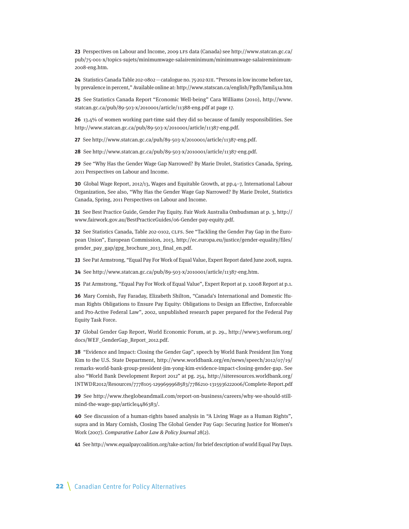**23** Perspectives on Labour and Income, 2009 LFS data (Canada) see [http://www.statcan.gc.ca/](http://www.statcan.gc.ca/pub/75-001-x/topics-sujets/minimumwage-salaireminimum/minimumwage-salaireminimum-2008-eng.htm) [pub/75-001-x/topics-sujets/minimumwage-salaireminimum/minimumwage-salaireminimum-](http://www.statcan.gc.ca/pub/75-001-x/topics-sujets/minimumwage-salaireminimum/minimumwage-salaireminimum-2008-eng.htm)[2008-eng.htm.](http://www.statcan.gc.ca/pub/75-001-x/topics-sujets/minimumwage-salaireminimum/minimumwage-salaireminimum-2008-eng.htm)

**24** Statistics Canada Table 202-0802—catalogue no. 75-202-XIE. "Persons in low income before tax, by prevalence in percent," Available online at:<http://www.statscan.ca/english/Pgdb/famil41a.htm>

**25** See Statistics Canada Report "Economic Well-being" Cara Williams (2010), [http://www.](http://www.statcan.gc.ca/pub/89-503-x/2010001/article/11388-eng.pdf) [statcan.gc.ca/pub/89-503-x/2010001/article/11388-eng.pdf](http://www.statcan.gc.ca/pub/89-503-x/2010001/article/11388-eng.pdf) at page 17.

**26** 13.4% of women working part-time said they did so because of family responsibilities. See <http://www.statcan.gc.ca/pub/89-503-x/2010001/article/11387-eng.pdf>.

**27** See [http://www.statcan.gc.ca/pub/89-503-x/2010001/article/11387-eng.pdf.](http://www.statcan.gc.ca/pub/89-503-x/2010001/article/11387-eng.pdf)

**28** See <http://www.statcan.gc.ca/pub/89-503-x/2010001/article/11387-eng.pdf>.

**29** See "Why Has the Gender Wage Gap Narrowed? By Marie Drolet, Statistics Canada, Spring, 2011 Perspectives on Labour and Income.

**30** Global Wage Report, 2012/13, Wages and Equitable Growth, at pp.4–7, International Labour Organization, See also, "Why Has the Gender Wage Gap Narrowed? By Marie Drolet, Statistics Canada, Spring, 2011 Perspectives on Labour and Income.

**31** See Best Practice Guide, Gender Pay Equity. Fair Work Australia Ombudsman at p. 3, [http://](http://www.fairwork.gov.au/BestPracticeGuides/06-Gender-pay-equity.pdf) [www.fairwork.gov.au/BestPracticeGuides/06-Gender-pay-equity.pdf](http://www.fairwork.gov.au/BestPracticeGuides/06-Gender-pay-equity.pdf).

**32** See Statistics Canada, Table 202-0102, CLFS. See "Tackling the Gender Pay Gap in the European Union", European Commission, 2013, http://ec.europa.eu/justice/gender-equality/files/ gender\_pay\_gap/gpg\_brochure\_2013\_final\_en.pdf.

**33** See Pat Armstrong, "Equal Pay For Work of Equal Value, Expert Report dated June 2008, supra.

**34** See [http://www.statcan.gc.ca/pub/89-503-x/2010001/article/11387-eng.htm.](http://www.statcan.gc.ca/pub/89-503-x/2010001/article/11387-eng.htm)

**35** Pat Armstrong, "Equal Pay For Work of Equal Value", Expert Report at p. 12008 Report at p.1.

**36** Mary Cornish, Fay Faraday, Elizabeth Shilton, "Canada's International and Domestic Human Rights Obligations to Ensure Pay Equity: Obligations to Design an Effective, Enforceable and Pro-Active Federal Law", 2002, unpublished research paper prepared for the Federal Pay Equity Task Force.

**37** Global Gender Gap Report, World Economic Forum, at p. 29., [http://www3.weforum.org/](http://www3.weforum.org/docs/WEF_GenderGap_Report_2012.pdf) [docs/WEF\\_GenderGap\\_Report\\_2012.pdf.](http://www3.weforum.org/docs/WEF_GenderGap_Report_2012.pdf)

**38** "Evidence and Impact: Closing the Gender Gap", speech by World Bank President Jim Yong Kim to the U.S. State Department, [http://www.worldbank.org/en/news/speech/2012/07/19/](http://www.worldbank.org/en/news/speech/2012/07/19/remarks-world-bank-group-president-jim-yong-kim-evidence-impact-closing-gender-gap) [remarks-world-bank-group-president-jim-yong-kim-evidence-impact-closing-gender-gap](http://www.worldbank.org/en/news/speech/2012/07/19/remarks-world-bank-group-president-jim-yong-kim-evidence-impact-closing-gender-gap). See also "World Bank Development Report 2012" at pg. 254, [http://siteresources.worldbank.org/](http://siteresources.worldbank.org/INTWDR2012/Resources/7778105-1299699968583/7786210-1315936222006/Complete-Report.pdf) [INTWDR2012/Resources/7778105-1299699968583/7786210-1315936222006/Complete-Report.pdf](http://siteresources.worldbank.org/INTWDR2012/Resources/7778105-1299699968583/7786210-1315936222006/Complete-Report.pdf)

**39** See [http://www.theglobeandmail.com/report-on-business/careers/why-we-should-still](http://www.theglobeandmail.com/report-on-business/careers/why-we-should-still-mind-the-wage-gap/article4486383/)[mind-the-wage-gap/article4486383/.](http://www.theglobeandmail.com/report-on-business/careers/why-we-should-still-mind-the-wage-gap/article4486383/)

**40** See discussion of a human-rights based analysis in "A Living Wage as a Human Rights", supra and in Mary Cornish, Closing The Global Gender Pay Gap: Securing Justice for Women's Work (2007). Comparative Labor Law & Policy Journal 28(2).

**41** See<http://www.equalpaycoalition.org/take-action/> for brief description of world Equal Pay Days.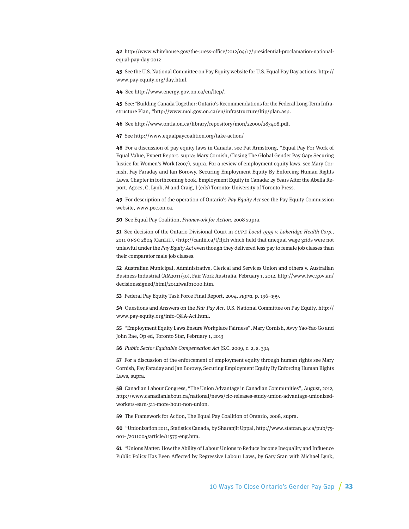**42** http://www.whitehouse.gov/the-press-office/2012/04/17/presidential-proclamation-nationalequal-pay-day-2012

**43** See the U.S. National Committee on Pay Equity website for U.S. Equal Pay Day actions. http:// www.pay-equity.org/day.html.

**44** See http://www.energy.gov.on.ca/en/ltep/.

**45** See:"Building Canada Together: Ontario's Recommendations for the Federal Long-Term Infrastructure Plan, "http://www.moi.gov.on.ca/en/infrastructure/ltip/plan.asp.

**46** See http://www.ontla.on.ca/library/repository/mon/22000/283408.pdf.

**47** See <http://www.equalpaycoalition.org/take-action/>

**48** For a discussion of pay equity laws in Canada, see Pat Armstrong, "Equal Pay For Work of Equal Value, Expert Report, supra; Mary Cornish, Closing The Global Gender Pay Gap: Securing Justice for Women's Work (2007), supra. For a review of employment equity laws, see Mary Cornish, Fay Faraday and Jan Borowy, Securing Employment Equity By Enforcing Human Rights Laws, Chapter in forthcoming book, Employment Equity in Canada: 25 Years After the Abella Report, Agocs, C, Lynk, M and Craig, J (eds) Toronto: University of Toronto Press.

**49** For description of the operation of Ontario's Pay Equity Act see the Pay Equity Commission website, [www.pec.on.ca.](http://www.pec.on.ca)

**50** See Equal Pay Coalition, Framework for Action, 2008 supra.

**51** See decision of the Ontario Divisional Court in CUPE Local 1999 v. Lakeridge Health Corp., 2011 ONSC 2804 (CanLII), <http://canlii.ca/t/flj1h which held that unequal wage grids were not unlawful under the Pay Equity Act even though they delivered less pay to female job classes than their comparator male job classes.

**52** Australian Municipal, Administrative, Clerical and Services Union and others v. Australian Business Industrial (AM2011/50), Fair Work Australia, February 1, 2012, http://www.fwc.gov.au/ decisionssigned/html/2012fwafb1000.htm.

**53** Federal Pay Equity Task Force Final Report, 2004, supra, p. 196–199.

**54** Questions and Answers on the Fair Pay Act, U.S. National Committee on Pay Equity, [http://](http://www.pay-equity.org/info-Q&A-Act.html) [www.pay-equity.org/info-Q&A-Act.html.](http://www.pay-equity.org/info-Q&A-Act.html)

**55** "Employment Equity Laws Ensure Workplace Fairness", Mary Cornish, Avvy Yao-Yao Go and John Rae, Op ed, Toronto Star, February 1, 2013

**56** Public Sector Equitable Compensation Act (S.C. 2009, c. 2, s. 394

**57** For a discussion of the enforcement of employment equity through human rights see Mary Cornish, Fay Faraday and Jan Borowy, Securing Employment Equity By Enforcing Human Rights Laws, supra.

**58** Canadian Labour Congress, "The Union Advantage in Canadian Communities", August, 2012, [http://www.canadianlabour.ca/national/news/clc-releases-study-union-advantage-unionized](http://www.canadianlabour.ca/national/news/clc-releases-study-union-advantage-unionized-workers-earn-511-more-hour-non-union)[workers-earn-511-more-hour-non-union.](http://www.canadianlabour.ca/national/news/clc-releases-study-union-advantage-unionized-workers-earn-511-more-hour-non-union)

**59** The Framework for Action, The Equal Pay Coalition of Ontario, 2008, supra.

**60** "Unionization 2011, Statistics Canada, by Sharanjit Uppal, [http://www.statcan.gc.ca/pub/75-](http://www.statcan.gc.ca/pub/75-001-%20/2011004/article/11579-eng.htm) [001- /2011004/article/11579-eng.htm](http://www.statcan.gc.ca/pub/75-001-%20/2011004/article/11579-eng.htm).

**61** "Unions Matter: How the Ability of Labour Unions to Reduce Income Inequality and Influence Public Policy Has Been Affected by Regressive Labour Laws, by Gary Sran with Michael Lynk,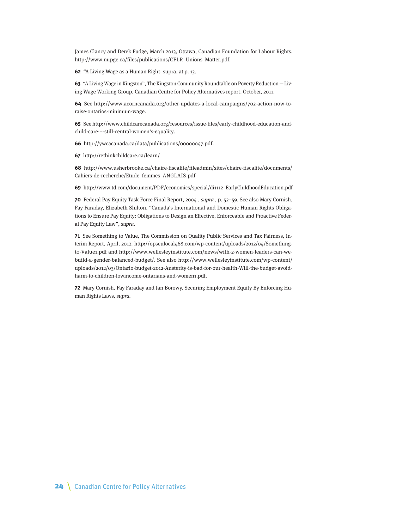James Clancy and Derek Fudge, March 2013, Ottawa, Canadian Foundation for Labour Rights. [http://www.nupge.ca/files/publications/CFLR\\_Unions\\_Matter.pdf](http://www.nupge.ca/files/publications/CFLR_Unions_Matter.pdf).

**62** "A Living Wage as a Human Right, supra, at p. 13.

**63** "A Living Wage in Kingston", The Kingston Community Roundtable on Poverty Reduction —Living Wage Working Group, Canadian Centre for Policy Alternatives report, October, 2011.

**64** See [http://www.acorncanada.org/other-updates-a-local-campaigns/702-action-now-to](http://www.acorncanada.org/other-updates-a-local-campaigns/702-action-now-to-raise-ontarios-minimum-wage)[raise-ontarios-minimum-wage.](http://www.acorncanada.org/other-updates-a-local-campaigns/702-action-now-to-raise-ontarios-minimum-wage)

**65** See [http://www.childcarecanada.org/resources/issue-files/early-childhood-education-and](http://www.childcarecanada.org/resources/issue-files/early-childhood-education-and-child-care-�-still-central-women)[child-care-–-still-central-women's-equality](http://www.childcarecanada.org/resources/issue-files/early-childhood-education-and-child-care-�-still-central-women).

**66** http://ywcacanada.ca/data/publications/00000047.pdf.

**67** http://rethinkchildcare.ca/learn/

**68** http://www.usherbrooke.ca/chaire-fiscalite/fileadmin/sites/chaire-fiscalite/documents/ Cahiers-de-recherche/Etude\_femmes\_ANGLAIS.pdf

**69** http://www.td.com/document/PDF/economics/special/di1112\_EarlyChildhoodEducation.pdf

**70** Federal Pay Equity Task Force Final Report, 2004 , supra , p. 52–59. See also Mary Cornish, Fay Faraday, Elizabeth Shilton, "Canada's International and Domestic Human Rights Obligations to Ensure Pay Equity: Obligations to Design an Effective, Enforceable and Proactive Federal Pay Equity Law", supra.

**71** See Something to Value, The Commission on Quality Public Services and Tax Fairness, Interim Report, April, 2012. http**:**//opseulocal468.com/wp-content/uploads/2012/04/Somethingto-Value1.pdf and [http://www.wellesleyinstitute.com/news/with-2-women-leaders-can-we](http://www.wellesleyinstitute.com/news/with-2-women-leaders-can-we-build-a-gender-balanced-budget/)[build-a-gender-balanced-budget/.](http://www.wellesleyinstitute.com/news/with-2-women-leaders-can-we-build-a-gender-balanced-budget/) See also http://www.wellesleyinstitute.com/wp-content/ uploads/2012/03/Ontario-budget-2012-Austerity-is-bad-for-our-health-Will-the-budget-avoidharm-to-children-lowincome-ontarians-and-women1.pdf.

**72** Mary Cornish, Fay Faraday and Jan Borowy, Securing Employment Equity By Enforcing Human Rights Laws, supra.